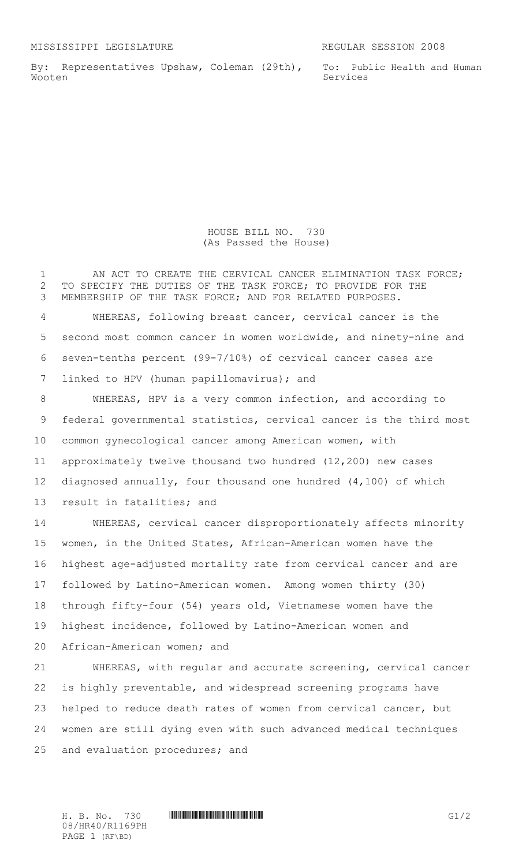By: Representatives Upshaw, Coleman (29th), Wooten

To: Public Health and Human Services

HOUSE BILL NO. 730 (As Passed the House)

1 AN ACT TO CREATE THE CERVICAL CANCER ELIMINATION TASK FORCE; TO SPECIFY THE DUTIES OF THE TASK FORCE; TO PROVIDE FOR THE MEMBERSHIP OF THE TASK FORCE; AND FOR RELATED PURPOSES.

 WHEREAS, following breast cancer, cervical cancer is the second most common cancer in women worldwide, and ninety-nine and seven-tenths percent (99-7/10%) of cervical cancer cases are linked to HPV (human papillomavirus); and

 WHEREAS, HPV is a very common infection, and according to federal governmental statistics, cervical cancer is the third most common gynecological cancer among American women, with approximately twelve thousand two hundred (12,200) new cases diagnosed annually, four thousand one hundred (4,100) of which result in fatalities; and

 WHEREAS, cervical cancer disproportionately affects minority women, in the United States, African-American women have the highest age-adjusted mortality rate from cervical cancer and are followed by Latino-American women. Among women thirty (30) through fifty-four (54) years old, Vietnamese women have the highest incidence, followed by Latino-American women and African-American women; and

 WHEREAS, with regular and accurate screening, cervical cancer is highly preventable, and widespread screening programs have helped to reduce death rates of women from cervical cancer, but women are still dying even with such advanced medical techniques and evaluation procedures; and

08/HR40/R1169PH PAGE 1 (RF\BD)

 $H. B. No. 730$  HR40-R1169PH  $G1/2$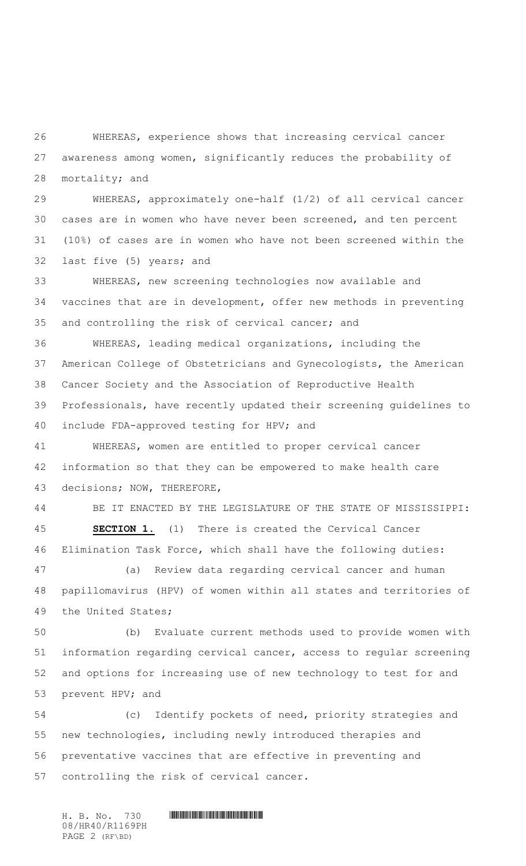WHEREAS, experience shows that increasing cervical cancer awareness among women, significantly reduces the probability of mortality; and

 WHEREAS, approximately one-half (1/2) of all cervical cancer cases are in women who have never been screened, and ten percent (10%) of cases are in women who have not been screened within the last five (5) years; and

 WHEREAS, new screening technologies now available and vaccines that are in development, offer new methods in preventing and controlling the risk of cervical cancer; and

 WHEREAS, leading medical organizations, including the American College of Obstetricians and Gynecologists, the American Cancer Society and the Association of Reproductive Health Professionals, have recently updated their screening guidelines to include FDA-approved testing for HPV; and

 WHEREAS, women are entitled to proper cervical cancer information so that they can be empowered to make health care decisions; NOW, THEREFORE,

 BE IT ENACTED BY THE LEGISLATURE OF THE STATE OF MISSISSIPPI: **SECTION 1.** (1) There is created the Cervical Cancer Elimination Task Force, which shall have the following duties:

 (a) Review data regarding cervical cancer and human papillomavirus (HPV) of women within all states and territories of the United States;

 (b) Evaluate current methods used to provide women with information regarding cervical cancer, access to regular screening and options for increasing use of new technology to test for and prevent HPV; and

 (c) Identify pockets of need, priority strategies and new technologies, including newly introduced therapies and preventative vaccines that are effective in preventing and controlling the risk of cervical cancer.

 $H. B. No. 730$  **HEADHEADHACHEADH** 08/HR40/R1169PH PAGE 2 (RF\BD)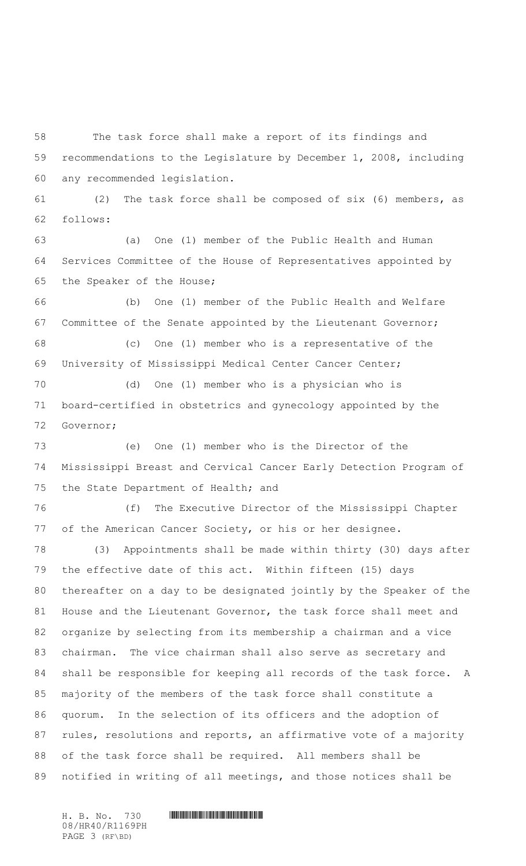The task force shall make a report of its findings and recommendations to the Legislature by December 1, 2008, including any recommended legislation.

 (2) The task force shall be composed of six (6) members, as follows:

 (a) One (1) member of the Public Health and Human Services Committee of the House of Representatives appointed by the Speaker of the House;

 (b) One (1) member of the Public Health and Welfare Committee of the Senate appointed by the Lieutenant Governor; (c) One (1) member who is a representative of the University of Mississippi Medical Center Cancer Center;

 (d) One (1) member who is a physician who is board-certified in obstetrics and gynecology appointed by the Governor;

 (e) One (1) member who is the Director of the Mississippi Breast and Cervical Cancer Early Detection Program of the State Department of Health; and

 (f) The Executive Director of the Mississippi Chapter of the American Cancer Society, or his or her designee.

 (3) Appointments shall be made within thirty (30) days after the effective date of this act. Within fifteen (15) days thereafter on a day to be designated jointly by the Speaker of the House and the Lieutenant Governor, the task force shall meet and organize by selecting from its membership a chairman and a vice chairman. The vice chairman shall also serve as secretary and shall be responsible for keeping all records of the task force. A majority of the members of the task force shall constitute a quorum. In the selection of its officers and the adoption of rules, resolutions and reports, an affirmative vote of a majority of the task force shall be required. All members shall be notified in writing of all meetings, and those notices shall be

08/HR40/R1169PH PAGE 3 (RF\BD)

 $H. B. No. 730$  **HEADHEADH**  $H. B. No. 730$